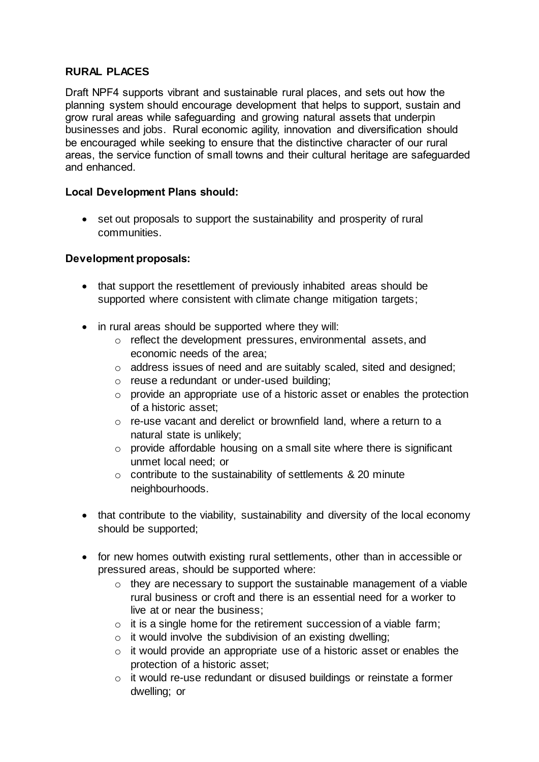## **RURAL PLACES**

Draft NPF4 supports vibrant and sustainable rural places, and sets out how the planning system should encourage development that helps to support, sustain and grow rural areas while safeguarding and growing natural assets that underpin businesses and jobs. Rural economic agility, innovation and diversification should be encouraged while seeking to ensure that the distinctive character of our rural areas, the service function of small towns and their cultural heritage are safeguarded and enhanced.

### **Local Development Plans should:**

• set out proposals to support the sustainability and prosperity of rural communities.

### **Development proposals:**

- that support the resettlement of previously inhabited areas should be supported where consistent with climate change mitigation targets;
- in rural areas should be supported where they will:
	- o reflect the development pressures, environmental assets, and economic needs of the area;
	- o address issues of need and are suitably scaled, sited and designed;
	- o reuse a redundant or under-used building;
	- o provide an appropriate use of a historic asset or enables the protection of a historic asset;
	- o re-use vacant and derelict or brownfield land, where a return to a natural state is unlikely;
	- $\circ$  provide affordable housing on a small site where there is significant unmet local need; or
	- $\circ$  contribute to the sustainability of settlements & 20 minute neighbourhoods.
- that contribute to the viability, sustainability and diversity of the local economy should be supported;
- for new homes outwith existing rural settlements, other than in accessible or pressured areas, should be supported where:
	- o they are necessary to support the sustainable management of a viable rural business or croft and there is an essential need for a worker to live at or near the business;
	- $\circ$  it is a single home for the retirement succession of a viable farm;
	- $\circ$  it would involve the subdivision of an existing dwelling;
	- $\circ$  it would provide an appropriate use of a historic asset or enables the protection of a historic asset;
	- o it would re-use redundant or disused buildings or reinstate a former dwelling; or